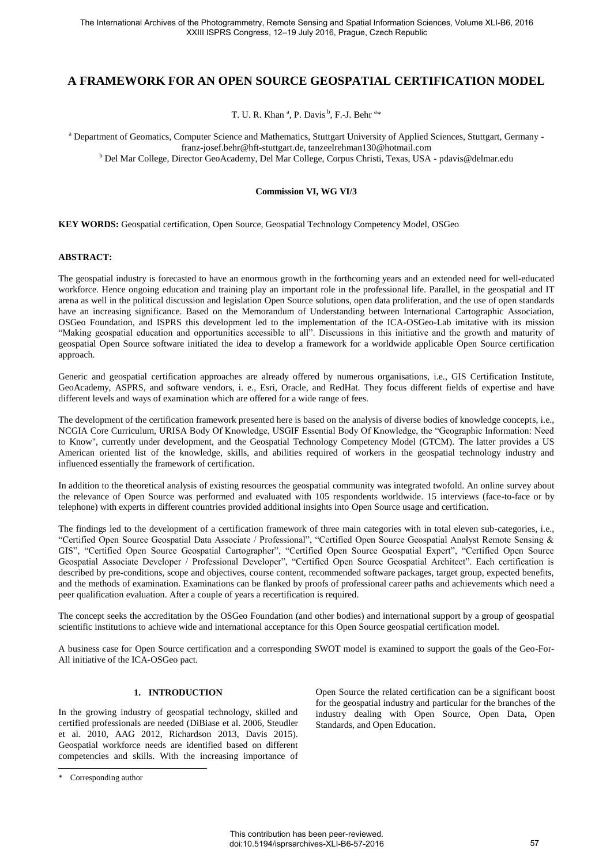# **A FRAMEWORK FOR AN OPEN SOURCE GEOSPATIAL CERTIFICATION MODEL**

T. U. R. Khan<sup>a</sup>, P. Davis<sup>b</sup>, F.-J. Behr<sup>a\*</sup>

<sup>a</sup> Department of Geomatics, Computer Science and Mathematics, Stuttgart University of Applied Sciences, Stuttgart, Germany franz-josef.behr@hft-stuttgart.de, tanzeelrehman130@hotmail.com b Del Mar College, Director GeoAcademy, Del Mar College, Corpus Christi, Texas, USA - pdavis@delmar.edu

#### **Commission VI, WG VI/3**

**KEY WORDS:** Geospatial certification, Open Source, Geospatial Technology Competency Model, OSGeo

#### **ABSTRACT:**

The geospatial industry is forecasted to have an enormous growth in the forthcoming years and an extended need for well-educated workforce. Hence ongoing education and training play an important role in the professional life. Parallel, in the geospatial and IT arena as well in the political discussion and legislation Open Source solutions, open data proliferation, and the use of open standards have an increasing significance. Based on the Memorandum of Understanding between International Cartographic Association, OSGeo Foundation, and ISPRS this development led to the implementation of the ICA-OSGeo-Lab imitative with its mission "Making geospatial education and opportunities accessible to all". Discussions in this initiative and the growth and maturity of geospatial Open Source software initiated the idea to develop a framework for a worldwide applicable Open Source certification approach.

Generic and geospatial certification approaches are already offered by numerous organisations, i.e., GIS Certification Institute, GeoAcademy, ASPRS, and software vendors, i. e., Esri, Oracle, and RedHat. They focus different fields of expertise and have different levels and ways of examination which are offered for a wide range of fees.

The development of the certification framework presented here is based on the analysis of diverse bodies of knowledge concepts, i.e., NCGIA Core Curriculum, URISA Body Of Knowledge, USGIF Essential Body Of Knowledge, the "Geographic Information: Need to Know", currently under development, and the Geospatial Technology Competency Model (GTCM). The latter provides a US American oriented list of the knowledge, skills, and abilities required of workers in the geospatial technology industry and influenced essentially the framework of certification.

In addition to the theoretical analysis of existing resources the geospatial community was integrated twofold. An online survey about the relevance of Open Source was performed and evaluated with 105 respondents worldwide. 15 interviews (face-to-face or by telephone) with experts in different countries provided additional insights into Open Source usage and certification.

The findings led to the development of a certification framework of three main categories with in total eleven sub-categories, i.e., "Certified Open Source Geospatial Data Associate / Professional", "Certified Open Source Geospatial Analyst Remote Sensing & GIS", "Certified Open Source Geospatial Cartographer", "Certified Open Source Geospatial Expert", "Certified Open Source Geospatial Associate Developer / Professional Developer", "Certified Open Source Geospatial Architect". Each certification is described by pre-conditions, scope and objectives, course content, recommended software packages, target group, expected benefits, and the methods of examination. Examinations can be flanked by proofs of professional career paths and achievements which need a peer qualification evaluation. After a couple of years a recertification is required.

The concept seeks the accreditation by the OSGeo Foundation (and other bodies) and international support by a group of geospatial scientific institutions to achieve wide and international acceptance for this Open Source geospatial certification model.

A business case for Open Source certification and a corresponding SWOT model is examined to support the goals of the Geo-For-All initiative of the ICA-OSGeo pact.

## **1. INTRODUCTION**

In the growing industry of geospatial technology, skilled and certified professionals are needed (DiBiase et al. 2006, Steudler et al. 2010, AAG 2012, Richardson 2013, Davis 2015). Geospatial workforce needs are identified based on different competencies and skills. With the increasing importance of Open Source the related certification can be a significant boost for the geospatial industry and particular for the branches of the industry dealing with Open Source, Open Data, Open Standards, and Open Education.

 $\overline{a}$ 

<sup>\*</sup> Corresponding author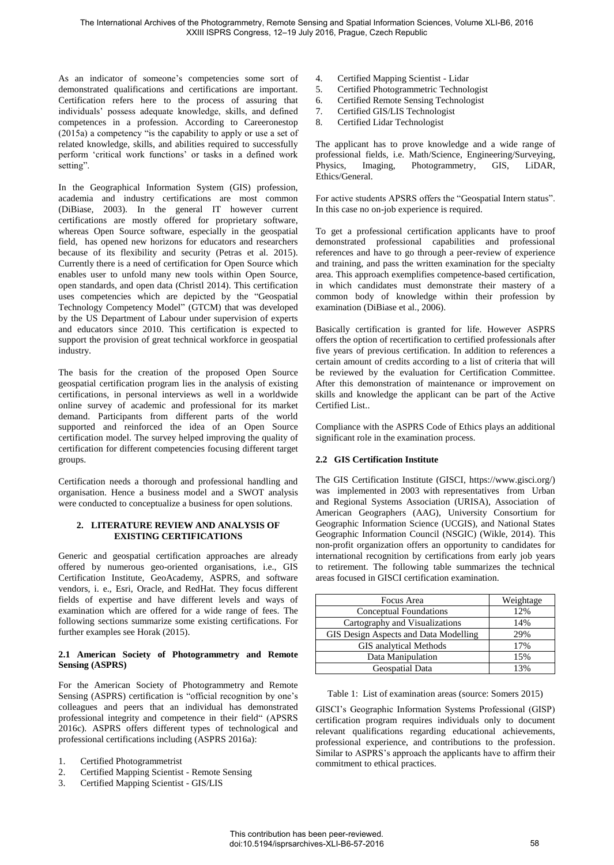As an indicator of someone's competencies some sort of demonstrated qualifications and certifications are important. Certification refers here to the process of assuring that individuals' possess adequate knowledge, skills, and defined competences in a profession. According to Careeronestop (2015a) a competency "is the capability to apply or use a set of related knowledge, skills, and abilities required to successfully perform 'critical work functions' or tasks in a defined work setting".

In the Geographical Information System (GIS) profession, academia and industry certifications are most common (DiBiase, 2003). In the general IT however current certifications are mostly offered for proprietary software, whereas Open Source software, especially in the geospatial field, has opened new horizons for educators and researchers because of its flexibility and security (Petras et al. 2015). Currently there is a need of certification for Open Source which enables user to unfold many new tools within Open Source, open standards, and open data (Christl 2014). This certification uses competencies which are depicted by the "Geospatial Technology Competency Model" (GTCM) that was developed by the US Department of Labour under supervision of experts and educators since 2010. This certification is expected to support the provision of great technical workforce in geospatial industry.

The basis for the creation of the proposed Open Source geospatial certification program lies in the analysis of existing certifications, in personal interviews as well in a worldwide online survey of academic and professional for its market demand. Participants from different parts of the world supported and reinforced the idea of an Open Source certification model. The survey helped improving the quality of certification for different competencies focusing different target groups.

Certification needs a thorough and professional handling and organisation. Hence a business model and a SWOT analysis were conducted to conceptualize a business for open solutions.

#### **2. LITERATURE REVIEW AND ANALYSIS OF EXISTING CERTIFICATIONS**

Generic and geospatial certification approaches are already offered by numerous geo-oriented organisations, i.e., GIS Certification Institute, GeoAcademy, ASPRS, and software vendors, i. e., Esri, Oracle, and RedHat. They focus different fields of expertise and have different levels and ways of examination which are offered for a wide range of fees. The following sections summarize some existing certifications. For further examples see Horak (2015).

#### **2.1 American Society of Photogrammetry and Remote Sensing (ASPRS)**

For the American Society of Photogrammetry and Remote Sensing (ASPRS) certification is "official recognition by one's colleagues and peers that an individual has demonstrated professional integrity and competence in their field" (APSRS 2016c). ASPRS offers different types of technological and professional certifications including (ASPRS 2016a):

- 1. Certified Photogrammetrist
- 2. Certified Mapping Scientist Remote Sensing
- 3. Certified Mapping Scientist GIS/LIS
- 4. Certified Mapping Scientist Lidar<br>5. Certified Photogrammetric Technol
- 5. Certified Photogrammetric Technologist
- 6. Certified Remote Sensing Technologist
- 7. Certified GIS/LIS Technologist<br>8. Certified Lidar Technologist
- 8. Certified Lidar Technologist

The applicant has to prove knowledge and a wide range of professional fields, i.e. Math/Science, Engineering/Surveying,<br>Physics. Imaging, Photogrammetry. GIS. LiDAR. Imaging, Photogrammetry, Ethics/General.

For active students APSRS offers the "Geospatial Intern status". In this case no on-job experience is required.

To get a professional certification applicants have to proof demonstrated professional capabilities and professional references and have to go through a peer-review of experience and training, and pass the written examination for the specialty area. This approach exemplifies competence-based certification, in which candidates must demonstrate their mastery of a common body of knowledge within their profession by examination (DiBiase et al., 2006).

Basically certification is granted for life. However ASPRS offers the option of recertification to certified professionals after five years of previous certification. In addition to references a certain amount of credits according to a list of criteria that will be reviewed by the evaluation for Certification Committee. After this demonstration of maintenance or improvement on skills and knowledge the applicant can be part of the Active Certified List..

Compliance with the ASPRS Code of Ethics plays an additional significant role in the examination process.

## **2.2 GIS Certification Institute**

The GIS Certification Institute (GISCI, https://www.gisci.org/) was implemented in 2003 with representatives from Urban and Regional Systems Association (URISA), Association of American Geographers (AAG), University Consortium for Geographic Information Science (UCGIS), and National States Geographic Information Council (NSGIC) (Wikle, 2014). This non-profit organization offers an opportunity to candidates for international recognition by certifications from early job years to retirement. The following table summarizes the technical areas focused in GISCI certification examination.

| Focus Area                            | Weightage |
|---------------------------------------|-----------|
| Conceptual Foundations                | 12%       |
| Cartography and Visualizations        | 14%       |
| GIS Design Aspects and Data Modelling | 29%       |
| <b>GIS</b> analytical Methods         | 17%       |
| Data Manipulation                     | 15%       |
| Geospatial Data                       | 13%       |

Table 1: List of examination areas (source: Somers 2015)

GISCI's Geographic Information Systems Professional (GISP) certification program requires individuals only to document relevant qualifications regarding educational achievements, professional experience, and contributions to the profession. Similar to ASPRS's approach the applicants have to affirm their commitment to ethical practices.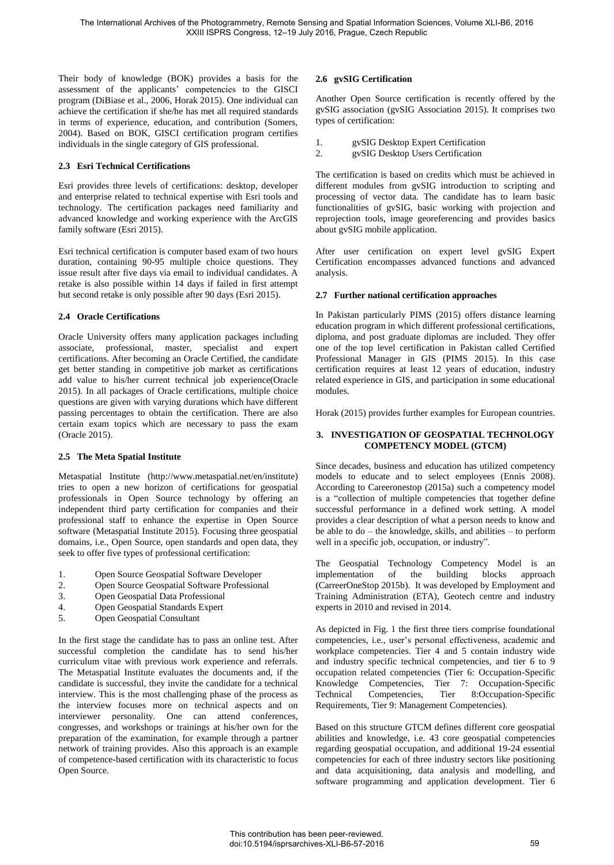Their body of knowledge (BOK) provides a basis for the assessment of the applicants' competencies to the GISCI program (DiBiase et al., 2006, Horak 2015). One individual can achieve the certification if she/he has met all required standards in terms of experience, education, and contribution (Somers, 2004). Based on BOK, GISCI certification program certifies individuals in the single category of GIS professional.

#### **2.3 Esri Technical Certifications**

Esri provides three levels of certifications: desktop, developer and enterprise related to technical expertise with Esri tools and technology. The certification packages need familiarity and advanced knowledge and working experience with the ArcGIS family software (Esri 2015).

Esri technical certification is computer based exam of two hours duration, containing 90-95 multiple choice questions. They issue result after five days via email to individual candidates. A retake is also possible within 14 days if failed in first attempt but second retake is only possible after 90 days (Esri 2015).

## **2.4 Oracle Certifications**

Oracle University offers many application packages including associate, professional, master, specialist and expert certifications. After becoming an Oracle Certified, the candidate get better standing in competitive job market as certifications add value to his/her current technical job experience(Oracle 2015). In all packages of Oracle certifications, multiple choice questions are given with varying durations which have different passing percentages to obtain the certification. There are also certain exam topics which are necessary to pass the exam (Oracle 2015).

## **2.5 The Meta Spatial Institute**

Metaspatial Institute (http://www.metaspatial.net/en/institute) tries to open a new horizon of certifications for geospatial professionals in Open Source technology by offering an independent third party certification for companies and their professional staff to enhance the expertise in Open Source software (Metaspatial Institute 2015). Focusing three geospatial domains, i.e., Open Source, open standards and open data, they seek to offer five types of professional certification:

- 1. Open Source Geospatial Software Developer<br>2. Open Source Geospatial Software Professiona
- Open Source Geospatial Software Professional
- 3. Open Geospatial Data Professional
- 4. Open Geospatial Standards Expert
- 5. Open Geospatial Consultant

In the first stage the candidate has to pass an online test. After successful completion the candidate has to send his/her curriculum vitae with previous work experience and referrals. The Metaspatial Institute evaluates the documents and, if the candidate is successful, they invite the candidate for a technical interview. This is the most challenging phase of the process as the interview focuses more on technical aspects and on interviewer personality. One can attend conferences, congresses, and workshops or trainings at his/her own for the preparation of the examination, for example through a partner network of training provides. Also this approach is an example of competence-based certification with its characteristic to focus Open Source.

#### **2.6 gvSIG Certification**

Another Open Source certification is recently offered by the gvSIG association (gvSIG Association 2015). It comprises two types of certification:

- 1. gvSIG Desktop Expert Certification
- 2. gvSIG Desktop Users Certification

The certification is based on credits which must be achieved in different modules from gvSIG introduction to scripting and processing of vector data. The candidate has to learn basic functionalities of gvSIG, basic working with projection and reprojection tools, image georeferencing and provides basics about gvSIG mobile application.

After user certification on expert level gvSIG Expert Certification encompasses advanced functions and advanced analysis.

#### **2.7 Further national certification approaches**

In Pakistan particularly PIMS (2015) offers distance learning education program in which different professional certifications, diploma, and post graduate diplomas are included. They offer one of the top level certification in Pakistan called Certified Professional Manager in GIS (PIMS 2015). In this case certification requires at least 12 years of education, industry related experience in GIS, and participation in some educational modules.

Horak (2015) provides further examples for European countries.

#### **3. INVESTIGATION OF GEOSPATIAL TECHNOLOGY COMPETENCY MODEL (GTCM)**

Since decades, business and education has utilized competency models to educate and to select employees (Ennis 2008). According to Careeronestop (2015a) such a competency model is a "collection of multiple competencies that together define successful performance in a defined work setting. A model provides a clear description of what a person needs to know and be able to do – the knowledge, skills, and abilities – to perform well in a specific job, occupation, or industry".

The Geospatial Technology Competency Model is an implementation of the building blocks approach implementation of the building blocks approach (CarreerOneStop 2015b). It was developed by Employment and Training Administration (ETA), Geotech centre and industry experts in 2010 and revised in 2014.

As depicted in Fig. 1 the first three tiers comprise foundational competencies, i.e., user's personal effectiveness, academic and workplace competencies. Tier 4 and 5 contain industry wide and industry specific technical competencies, and tier 6 to 9 occupation related competencies (Tier 6: Occupation-Specific Knowledge Competencies, Tier 7: Occupation-Specific Technical Competencies, Tier 8:Occupation-Specific Requirements, Tier 9: Management Competencies).

Based on this structure GTCM defines different core geospatial abilities and knowledge, i.e. 43 core geospatial competencies regarding geospatial occupation, and additional 19-24 essential competencies for each of three industry sectors like positioning and data acquisitioning, data analysis and modelling, and software programming and application development. Tier 6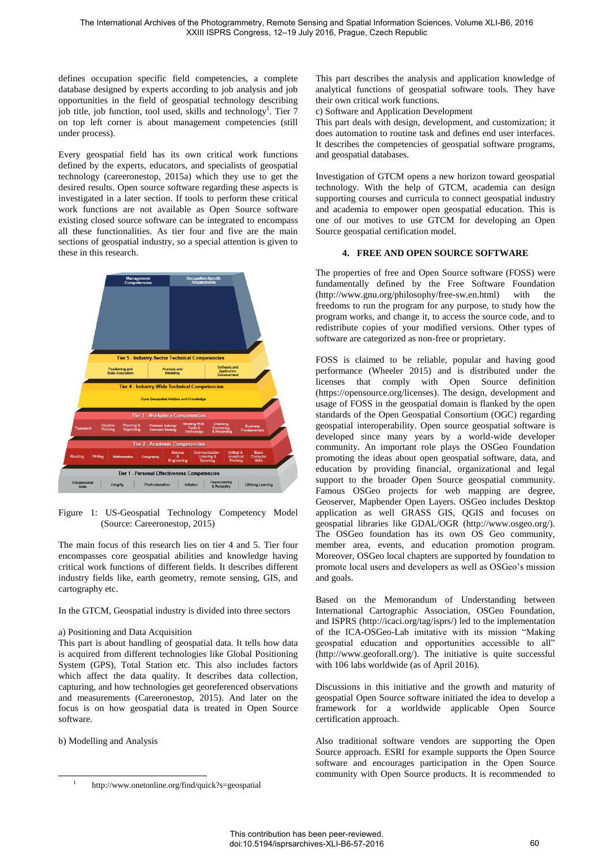defines occupation specific field competencies, a complete database designed by experts according to job analysis and job opportunities in the field of geospatial technology describing job title, job function, tool used, skills and technology<sup>1</sup>. Tier 7 on top left corner is about management competencies (still under process).

Every geospatial field has its own critical work functions defined by the experts, educators, and specialists of geospatial technology (careeronestop, 2015a) which they use to get the desired results. Open source software regarding these aspects is investigated in a later section. If tools to perform these critical work functions are not available as Open Source software existing closed source software can be integrated to encompass all these functionalities. As tier four and five are the main sections of geospatial industry, so a special attention is given to these in this research.



Figure 1: US-Geospatial Technology Competency Model (Source: Careeronestop, 2015)

The main focus of this research lies on tier 4 and 5. Tier four encompasses core geospatial abilities and knowledge having critical work functions of different fields. It describes different industry fields like, earth geometry, remote sensing, GIS, and cartography etc.

In the GTCM, Geospatial industry is divided into three sectors

#### a) Positioning and Data Acquisition

This part is about handling of geospatial data. It tells how data is acquired from different technologies like Global Positioning System (GPS), Total Station etc. This also includes factors which affect the data quality. It describes data collection, capturing, and how technologies get georeferenced observations and measurements (Careeronestop, 2015). And later on the focus is on how geospatial data is treated in Open Source software.

b) Modelling and Analysis

This part describes the analysis and application knowledge of analytical functions of geospatial software tools. They have their own critical work functions.

c) Software and Application Development

This part deals with design, development, and customization; it does automation to routine task and defines end user interfaces. It describes the competencies of geospatial software programs, and geospatial databases.

Investigation of GTCM opens a new horizon toward geospatial technology. With the help of GTCM, academia can design supporting courses and curricula to connect geospatial industry and academia to empower open geospatial education. This is one of our motives to use GTCM for developing an Open Source geospatial certification model.

#### **4. FREE AND OPEN SOURCE SOFTWARE**

The properties of free and Open Source software (FOSS) were fundamentally defined by the Free Software Foundation (http://www.gnu.org/philosophy/free-sw.en.html) with the  $(http://www.gnu.org/philosophy/free-sw_en.html)$ freedoms to run the program for any purpose, to study how the program works, and change it, to access the source code, and to redistribute copies of your modified versions. Other types of software are categorized as non-free or proprietary.

FOSS is claimed to be reliable, popular and having good performance (Wheeler 2015) and is distributed under the licenses that comply with Open Source definition (https://opensource.org/licenses). The design, development and usage of FOSS in the geospatial domain is flanked by the open standards of the Open Geospatial Consortium (OGC) regarding geospatial interoperability. Open source geospatial software is developed since many years by a world-wide developer community. An important role plays the OSGeo Foundation promoting the ideas about open geospatial software, data, and education by providing financial, organizational and legal support to the broader Open Source geospatial community. Famous OSGeo projects for web mapping are degree, Geoserver, Mapbender Open Layers. OSGeo includes Desktop application as well GRASS GIS, QGIS and focuses on geospatial libraries like GDAL/OGR (http://www.osgeo.org/). The OSGeo foundation has its own OS Geo community, member area, events, and education promotion program. Moreover, OSGeo local chapters are supported by foundation to promote local users and developers as well as OSGeo's mission and goals.

Based on the Memorandum of Understanding between International Cartographic Association, OSGeo Foundation, and ISPRS (http://icaci.org/tag/isprs/) led to the implementation of the ICA-OSGeo-Lab imitative with its mission "Making geospatial education and opportunities accessible to all" (http://www.geoforall.org/). The initiative is quite successful with 106 labs worldwide (as of April 2016).

Discussions in this initiative and the growth and maturity of geospatial Open Source software initiated the idea to develop a framework for a worldwide applicable Open Source certification approach.

Also traditional software vendors are supporting the Open Source approach. ESRI for example supports the Open Source software and encourages participation in the Open Source community with Open Source products. It is recommended to

 $\overline{a}$ 

<sup>1</sup>http://www.onetonline.org/find/quick?s=geospatial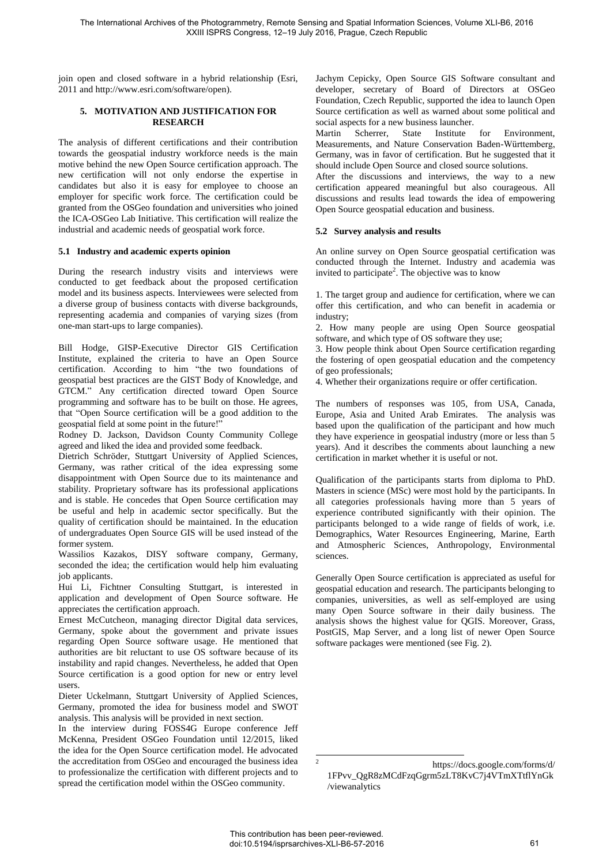join open and closed software in a hybrid relationship (Esri, 2011 and http://www.esri.com/software/open).

#### **5. MOTIVATION AND JUSTIFICATION FOR RESEARCH**

The analysis of different certifications and their contribution towards the geospatial industry workforce needs is the main motive behind the new Open Source certification approach. The new certification will not only endorse the expertise in candidates but also it is easy for employee to choose an employer for specific work force. The certification could be granted from the OSGeo foundation and universities who joined the ICA-OSGeo Lab Initiative. This certification will realize the industrial and academic needs of geospatial work force.

#### **5.1 Industry and academic experts opinion**

During the research industry visits and interviews were conducted to get feedback about the proposed certification model and its business aspects. Interviewees were selected from a diverse group of business contacts with diverse backgrounds, representing academia and companies of varying sizes (from one-man start-ups to large companies).

Bill Hodge, GISP-Executive Director GIS Certification Institute, explained the criteria to have an Open Source certification. According to him "the two foundations of geospatial best practices are the GIST Body of Knowledge, and GTCM." Any certification directed toward Open Source programming and software has to be built on those. He agrees, that "Open Source certification will be a good addition to the geospatial field at some point in the future!"

Rodney D. Jackson, Davidson County Community College agreed and liked the idea and provided some feedback.

Dietrich Schröder, Stuttgart University of Applied Sciences, Germany, was rather critical of the idea expressing some disappointment with Open Source due to its maintenance and stability. Proprietary software has its professional applications and is stable. He concedes that Open Source certification may be useful and help in academic sector specifically. But the quality of certification should be maintained. In the education of undergraduates Open Source GIS will be used instead of the former system.

Wassilios Kazakos, DISY software company, Germany, seconded the idea; the certification would help him evaluating job applicants.

Hui Li, Fichtner Consulting Stuttgart, is interested in application and development of Open Source software. He appreciates the certification approach.

Ernest McCutcheon, managing director Digital data services, Germany, spoke about the government and private issues regarding Open Source software usage. He mentioned that authorities are bit reluctant to use OS software because of its instability and rapid changes. Nevertheless, he added that Open Source certification is a good option for new or entry level users.

Dieter Uckelmann, Stuttgart University of Applied Sciences, Germany, promoted the idea for business model and SWOT analysis. This analysis will be provided in next section.

In the interview during FOSS4G Europe conference Jeff McKenna, President OSGeo Foundation until 12/2015, liked the idea for the Open Source certification model. He advocated the accreditation from OSGeo and encouraged the business idea to professionalize the certification with different projects and to spread the certification model within the OSGeo community.

Jachym Cepicky, Open Source GIS Software consultant and developer, secretary of Board of Directors at OSGeo Foundation, Czech Republic, supported the idea to launch Open Source certification as well as warned about some political and social aspects for a new business launcher.<br>Martin Scherrer, State Institute

State Institute for Environment, Measurements, and Nature Conservation Baden-Württemberg, Germany, was in favor of certification. But he suggested that it should include Open Source and closed source solutions.

After the discussions and interviews, the way to a new certification appeared meaningful but also courageous. All discussions and results lead towards the idea of empowering Open Source geospatial education and business.

## **5.2 Survey analysis and results**

An online survey on Open Source geospatial certification was conducted through the Internet. Industry and academia was invited to participate<sup>2</sup>. The objective was to know

1. The target group and audience for certification, where we can offer this certification, and who can benefit in academia or industry;

2. How many people are using Open Source geospatial software, and which type of OS software they use;

3. How people think about Open Source certification regarding the fostering of open geospatial education and the competency of geo professionals;

4. Whether their organizations require or offer certification.

The numbers of responses was 105, from USA, Canada, Europe, Asia and United Arab Emirates. The analysis was based upon the qualification of the participant and how much they have experience in geospatial industry (more or less than 5 years). And it describes the comments about launching a new certification in market whether it is useful or not.

Qualification of the participants starts from diploma to PhD. Masters in science (MSc) were most hold by the participants. In all categories professionals having more than 5 years of experience contributed significantly with their opinion. The participants belonged to a wide range of fields of work, i.e. Demographics, Water Resources Engineering, Marine, Earth and Atmospheric Sciences, Anthropology, Environmental sciences.

Generally Open Source certification is appreciated as useful for geospatial education and research. The participants belonging to companies, universities, as well as self-employed are using many Open Source software in their daily business. The analysis shows the highest value for QGIS. Moreover, Grass, PostGIS, Map Server, and a long list of newer Open Source software packages were mentioned (see Fig. 2).

1 2

https://docs.google.com/forms/d/ 1FPvv\_QgR8zMCdFzqGgrm5zLT8KvC7j4VTmXTtflYnGk /viewanalytics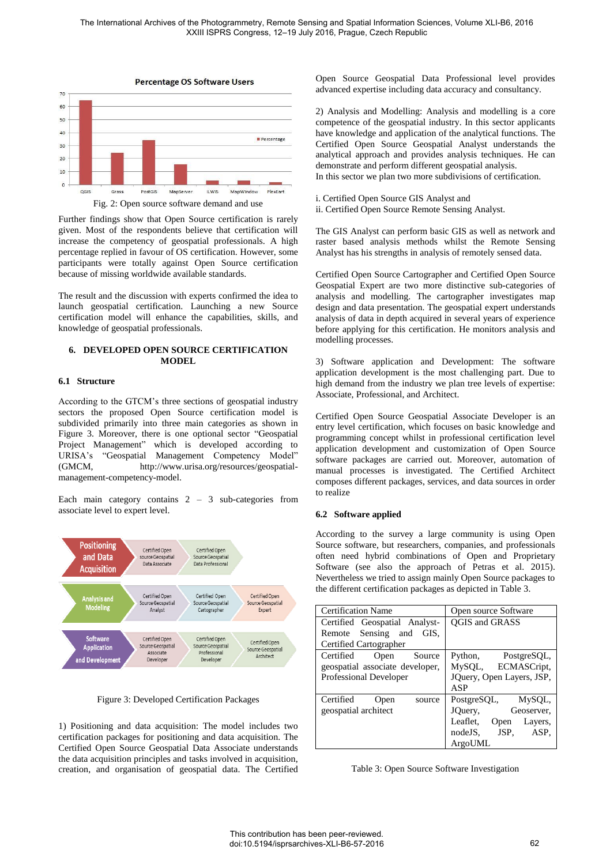

Fig. 2: Open source software demand and use

Further findings show that Open Source certification is rarely given. Most of the respondents believe that certification will increase the competency of geospatial professionals. A high percentage replied in favour of OS certification. However, some participants were totally against Open Source certification because of missing worldwide available standards.

The result and the discussion with experts confirmed the idea to launch geospatial certification. Launching a new Source certification model will enhance the capabilities, skills, and knowledge of geospatial professionals.

### **6. DEVELOPED OPEN SOURCE CERTIFICATION MODEL**

#### **6.1 Structure**

According to the GTCM's three sections of geospatial industry sectors the proposed Open Source certification model is subdivided primarily into three main categories as shown in Figure 3. Moreover, there is one optional sector "Geospatial Project Management" which is developed according to URISA's "Geospatial Management Competency Model" (GMCM, http://www.urisa.org/resources/geospatialmanagement-competency-model.

Each main category contains 2 – 3 sub-categories from associate level to expert level.



Figure 3: Developed Certification Packages

1) Positioning and data acquisition: The model includes two certification packages for positioning and data acquisition. The Certified Open Source Geospatial Data Associate understands the data acquisition principles and tasks involved in acquisition, creation, and organisation of geospatial data. The Certified Open Source Geospatial Data Professional level provides advanced expertise including data accuracy and consultancy.

2) Analysis and Modelling: Analysis and modelling is a core competence of the geospatial industry. In this sector applicants have knowledge and application of the analytical functions. The Certified Open Source Geospatial Analyst understands the analytical approach and provides analysis techniques. He can demonstrate and perform different geospatial analysis. In this sector we plan two more subdivisions of certification.

i. Certified Open Source GIS Analyst and ii. Certified Open Source Remote Sensing Analyst.

The GIS Analyst can perform basic GIS as well as network and raster based analysis methods whilst the Remote Sensing Analyst has his strengths in analysis of remotely sensed data.

Certified Open Source Cartographer and Certified Open Source Geospatial Expert are two more distinctive sub-categories of analysis and modelling. The cartographer investigates map design and data presentation. The geospatial expert understands analysis of data in depth acquired in several years of experience before applying for this certification. He monitors analysis and modelling processes.

3) Software application and Development: The software application development is the most challenging part. Due to high demand from the industry we plan tree levels of expertise: Associate, Professional, and Architect.

Certified Open Source Geospatial Associate Developer is an entry level certification, which focuses on basic knowledge and programming concept whilst in professional certification level application development and customization of Open Source software packages are carried out. Moreover, automation of manual processes is investigated. The Certified Architect composes different packages, services, and data sources in order to realize

#### **6.2 Software applied**

According to the survey a large community is using Open Source software, but researchers, companies, and professionals often need hybrid combinations of Open and Proprietary Software (see also the approach of Petras et al. 2015). Nevertheless we tried to assign mainly Open Source packages to the different certification packages as depicted in Table 3.

| <b>Certification Name</b>       | Open source Software        |
|---------------------------------|-----------------------------|
| Certified Geospatial Analyst-   | <b>QGIS and GRASS</b>       |
| Remote Sensing and<br>GIS.      |                             |
| Certified Cartographer          |                             |
| Certified<br>Source<br>Open     | Python,<br>PostgreSQL,      |
| geospatial associate developer, | ECMASCript,<br>MySQL,       |
| Professional Developer          | JQuery, Open Layers, JSP,   |
|                                 | ASP                         |
| Certified<br>Open<br>source     | PostgreSQL,<br>MySQL,       |
| geospatial architect            | Geoserver,<br>JQuery,       |
|                                 | Leaflet.<br>Layers,<br>Open |
|                                 | nodeJS, JSP,<br>ASP.        |
|                                 | ArgoUML                     |

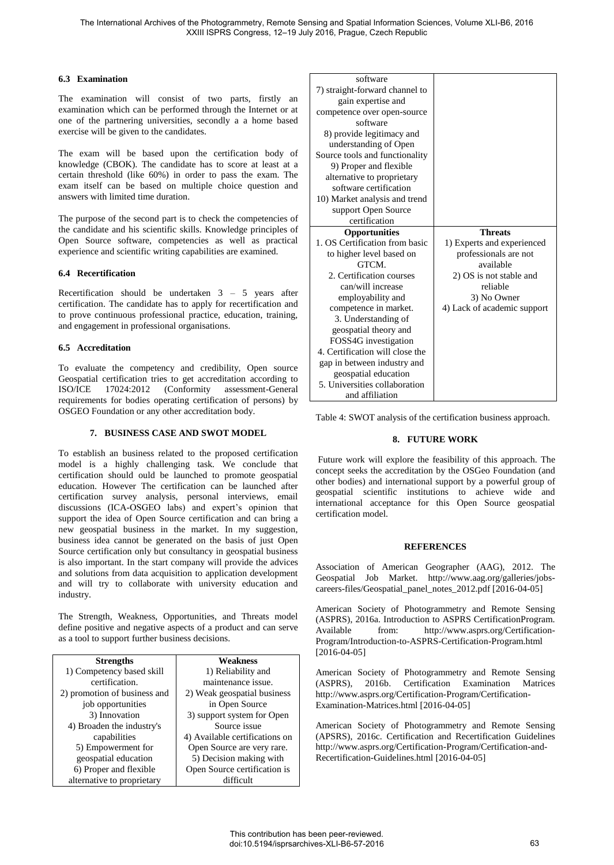#### **6.3 Examination**

The examination will consist of two parts, firstly an examination which can be performed through the Internet or at one of the partnering universities, secondly a a home based exercise will be given to the candidates.

The exam will be based upon the certification body of knowledge (CBOK). The candidate has to score at least at a certain threshold (like 60%) in order to pass the exam. The exam itself can be based on multiple choice question and answers with limited time duration.

The purpose of the second part is to check the competencies of the candidate and his scientific skills. Knowledge principles of Open Source software, competencies as well as practical experience and scientific writing capabilities are examined.

#### **6.4 Recertification**

Recertification should be undertaken 3 – 5 years after certification. The candidate has to apply for recertification and to prove continuous professional practice, education, training, and engagement in professional organisations.

#### **6.5 Accreditation**

To evaluate the competency and credibility, Open source Geospatial certification tries to get accreditation according to ISO/ICE 17024:2012 (Conformity assessment-General requirements for bodies operating certification of persons) by OSGEO Foundation or any other accreditation body.

#### **7. BUSINESS CASE AND SWOT MODEL**

To establish an business related to the proposed certification model is a highly challenging task. We conclude that certification should ould be launched to promote geospatial education. However The certification can be launched after certification survey analysis, personal interviews, email discussions (ICA-OSGEO labs) and expert's opinion that support the idea of Open Source certification and can bring a new geospatial business in the market. In my suggestion, business idea cannot be generated on the basis of just Open Source certification only but consultancy in geospatial business is also important. In the start company will provide the advices and solutions from data acquisition to application development and will try to collaborate with university education and industry.

The Strength, Weakness, Opportunities, and Threats model define positive and negative aspects of a product and can serve as a tool to support further business decisions.

| <b>Strengths</b>             | <b>Weakness</b>                |
|------------------------------|--------------------------------|
| 1) Competency based skill    | 1) Reliability and             |
| certification.               | maintenance issue.             |
| 2) promotion of business and | 2) Weak geospatial business    |
| job opportunities            | in Open Source                 |
| 3) Innovation                | 3) support system for Open     |
| 4) Broaden the industry's    | Source issue                   |
| capabilities                 | 4) Available certifications on |
| 5) Empowerment for           | Open Source are very rare.     |
| geospatial education         | 5) Decision making with        |
| 6) Proper and flexible       | Open Source certification is   |
| alternative to proprietary   | difficult                      |

| software                        |                             |
|---------------------------------|-----------------------------|
| 7) straight-forward channel to  |                             |
| gain expertise and              |                             |
| competence over open-source     |                             |
| software                        |                             |
| 8) provide legitimacy and       |                             |
| understanding of Open           |                             |
| Source tools and functionality  |                             |
| 9) Proper and flexible          |                             |
| alternative to proprietary      |                             |
| software certification          |                             |
| 10) Market analysis and trend   |                             |
| support Open Source             |                             |
| certification                   |                             |
| <b>Opportunities</b>            | <b>Threats</b>              |
| 1. OS Certification from basic  | 1) Experts and experienced  |
| to higher level based on        | professionals are not       |
| GTCM.                           | available                   |
| 2. Certification courses        | 2) OS is not stable and     |
| can/will increase               | reliable                    |
| employability and               | 3) No Owner                 |
| competence in market.           | 4) Lack of academic support |
| 3. Understanding of             |                             |
| geospatial theory and           |                             |
| FOSS4G investigation            |                             |
| 4. Certification will close the |                             |
| gap in between industry and     |                             |
| geospatial education            |                             |
| 5. Universities collaboration   |                             |
| and affiliation                 |                             |

Table 4: SWOT analysis of the certification business approach.

#### **8. FUTURE WORK**

 Future work will explore the feasibility of this approach. The concept seeks the accreditation by the OSGeo Foundation (and other bodies) and international support by a powerful group of geospatial scientific institutions to achieve wide and international acceptance for this Open Source geospatial certification model.

#### **REFERENCES**

Association of American Geographer (AAG), 2012. The Geospatial Job Market. http://www.aag.org/galleries/jobscareers-files/Geospatial\_panel\_notes\_2012.pdf [2016-04-05]

American Society of Photogrammetry and Remote Sensing (ASPRS), 2016a. Introduction to ASPRS CertificationProgram. Available from: http://www.asprs.org/Certification-Program/Introduction-to-ASPRS-Certification-Program.html [2016-04-05]

American Society of Photogrammetry and Remote Sensing (ASPRS), 2016b. Certification Examination Matrices http://www.asprs.org/Certification-Program/Certification-Examination-Matrices.html [2016-04-05]

American Society of Photogrammetry and Remote Sensing (APSRS), 2016c. Certification and Recertification Guidelines http://www.asprs.org/Certification-Program/Certification-and-Recertification-Guidelines.html [2016-04-05]